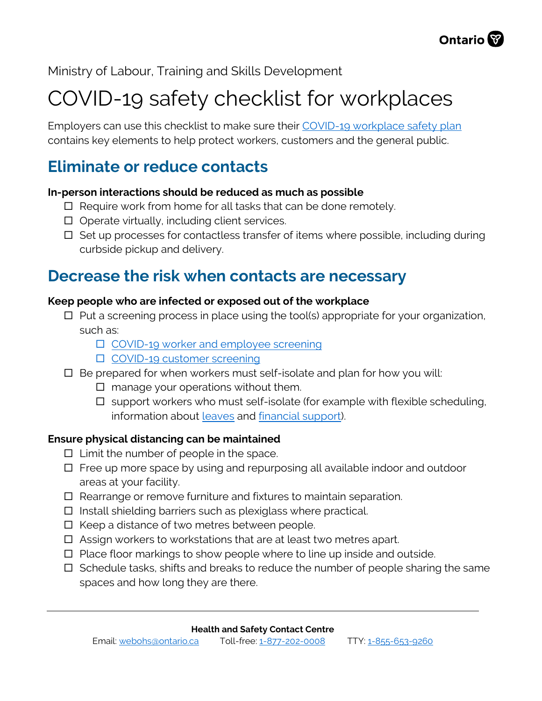

Ministry of Labour, Training and Skills Development

# COVID-19 safety checklist for workplaces

Employers can use this checklist to make sure their [COVID-19 workplace safety plan](https://www.ontario.ca/page/develop-your-covid-19-workplace-safety-plan) contains key elements to help protect workers, customers and the general public.

# **Eliminate or reduce contacts**

#### **In-person interactions should be reduced as much as possible**

- $\Box$  Require work from home for all tasks that can be done remotely.
- $\Box$  Operate virtually, including client services.
- $\Box$  Set up processes for contactless transfer of items where possible, including during curbside pickup and delivery.

# **Decrease the risk when contacts are necessary**

### **Keep people who are infected or exposed out of the workplace**

- $\Box$  Put a screening process in place using the tool(s) appropriate for your organization, such as:
	- □ [COVID-19 worker and employee screening](https://covid-19.ontario.ca/screening/worker/)
	- □ [COVID-19 customer screening](https://covid-19.ontario.ca/screening/customer/)
- $\square$  Be prepared for when workers must self-isolate and plan for how you will:
	- $\Box$  manage your operations without them.
	- $\Box$  support workers who must self-isolate (for example with flexible scheduling, information about [leaves](https://www.ontario.ca/document/your-guide-employment-standards-act-0/infectious-disease-emergency-leave) and [financial](https://www.canada.ca/en/services/benefits/covid19-emergency-benefits.html) support).

### **Ensure physical distancing can be maintained**

- $\Box$  Limit the number of people in the space.
- □ Free up more space by using and repurposing all available indoor and outdoor areas at your facility.
- □ Rearrange or remove furniture and fixtures to maintain separation.
- $\Box$  Install shielding barriers such as plexiglass where practical.
- $\square$  Keep a distance of two metres between people.
- □ Assign workers to workstations that are at least two metres apart.
- □ Place floor markings to show people where to line up inside and outside.
- $\Box$  Schedule tasks, shifts and breaks to reduce the number of people sharing the same spaces and how long they are there.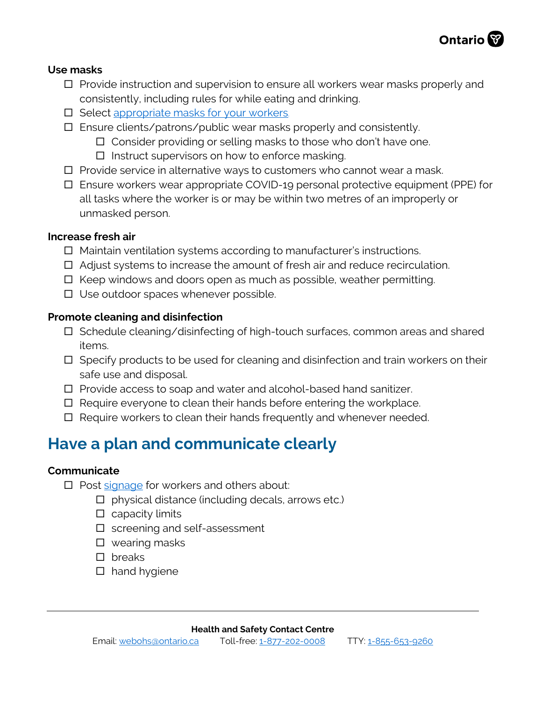

#### **Use masks**

- $\Box$  Provide instruction and supervision to ensure all workers wear masks properly and consistently, including rules for while eating and drinking.
- □ Select [appropriate masks for your workers.](https://www.ontario.ca/page/using-masks-workplace)
- □ Ensure clients/patrons/public wear masks properly and consistently.
	- □ Consider providing or selling masks to those who don't have one.
	- $\square$  Instruct supervisors on how to enforce masking.
- $\Box$  Provide service in alternative ways to customers who cannot wear a mask.
- Ensure workers wear appropriate COVID-19 personal protective equipment (PPE) for all tasks where the worker is or may be within two metres of an improperly or unmasked person.

#### **Increase fresh air**

- □ Maintain ventilation systems according to manufacturer's instructions.
- Adjust systems to increase the amount of fresh air and reduce recirculation.
- $\Box$  Keep windows and doors open as much as possible, weather permitting.
- □ Use outdoor spaces whenever possible.

#### **Promote cleaning and disinfection**

- □ Schedule cleaning/disinfecting of high-touch surfaces, common areas and shared items.
- $\Box$  Specify products to be used for cleaning and disinfection and train workers on their safe use and disposal.
- $\Box$  Provide access to soap and water and alcohol-based hand sanitizer.
- $\Box$  Require everyone to clean their hands before entering the workplace.
- □ Require workers to clean their hands frequently and whenever needed.

# **Have a plan and communicate clearly**

#### **Communicate**

- □ Post [signage](https://www.ontario.ca/page/resources-prevent-covid-19-workplace#section-4) for workers and others about:
	- $\Box$  physical distance (including decals, arrows etc.)
	- $\square$  capacity limits
	- $\square$  screening and self-assessment
	- □ wearing masks
	- □ breaks
	- $\square$  hand hygiene